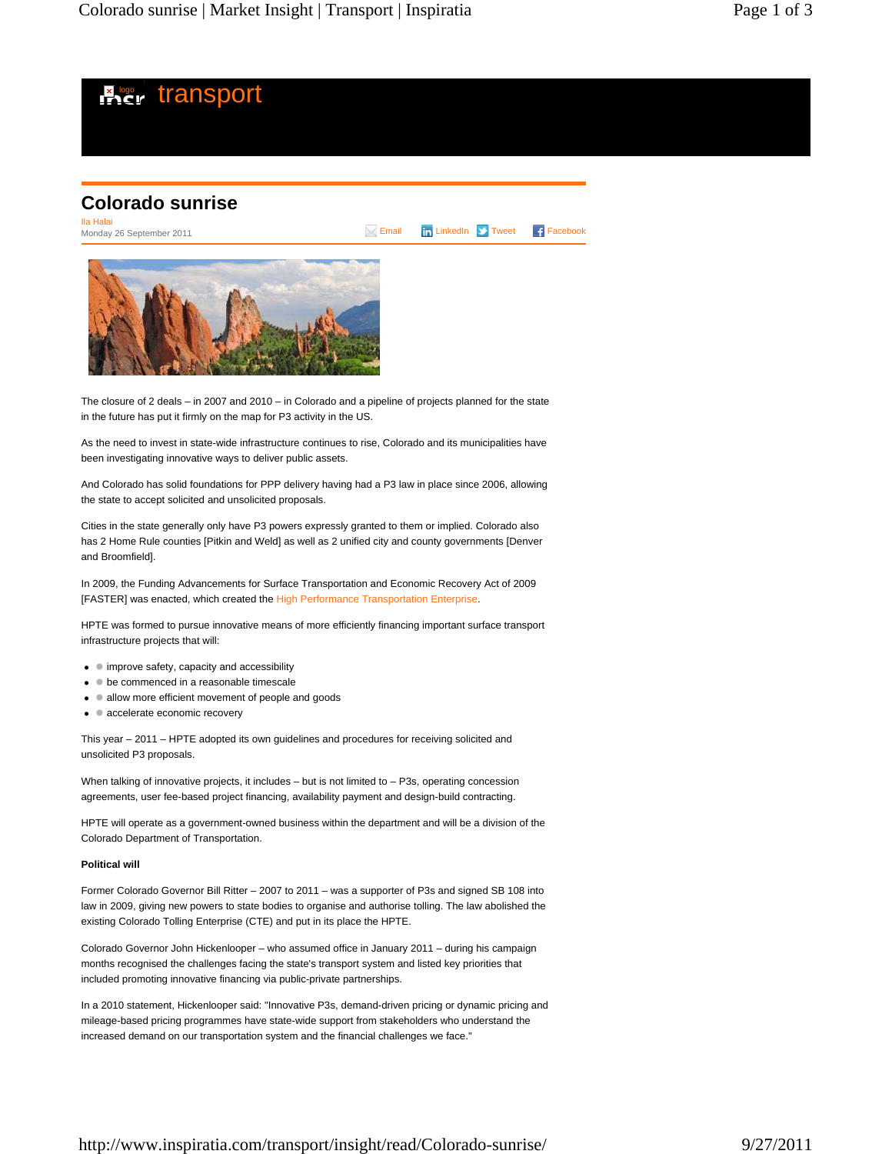

The closure of 2 deals – in 2007 and 2010 – in Colorado and a pipeline of projects planned for the state in the future has put it firmly on the map for P3 activity in the US.

As the need to invest in state-wide infrastructure continues to rise, Colorado and its municipalities have been investigating innovative ways to deliver public assets.

And Colorado has solid foundations for PPP delivery having had a P3 law in place since 2006, allowing the state to accept solicited and unsolicited proposals.

Cities in the state generally only have P3 powers expressly granted to them or implied. Colorado also has 2 Home Rule counties [Pitkin and Weld] as well as 2 unified city and county governments [Denver and Broomfield].

In 2009, the Funding Advancements for Surface Transportation and Economic Recovery Act of 2009 [FASTER] was enacted, which created the High Performance Transportation Enterprise.

HPTE was formed to pursue innovative means of more efficiently financing important surface transport infrastructure projects that will:

- improve safety, capacity and accessibility
- $\bullet\quad \bullet$  be commenced in a reasonable timescale
- allow more efficient movement of people and goods
- accelerate economic recovery

This year – 2011 – HPTE adopted its own guidelines and procedures for receiving solicited and unsolicited P3 proposals.

When talking of innovative projects, it includes  $-$  but is not limited to  $-$  P3s, operating concession agreements, user fee-based project financing, availability payment and design-build contracting.

HPTE will operate as a government-owned business within the department and will be a division of the Colorado Department of Transportation.

## **Political will**

Former Colorado Governor Bill Ritter – 2007 to 2011 – was a supporter of P3s and signed SB 108 into law in 2009, giving new powers to state bodies to organise and authorise tolling. The law abolished the existing Colorado Tolling Enterprise (CTE) and put in its place the HPTE.

Colorado Governor John Hickenlooper – who assumed office in January 2011 – during his campaign months recognised the challenges facing the state's transport system and listed key priorities that included promoting innovative financing via public-private partnerships.

In a 2010 statement, Hickenlooper said: "Innovative P3s, demand-driven pricing or dynamic pricing and mileage-based pricing programmes have state-wide support from stakeholders who understand the increased demand on our transportation system and the financial challenges we face."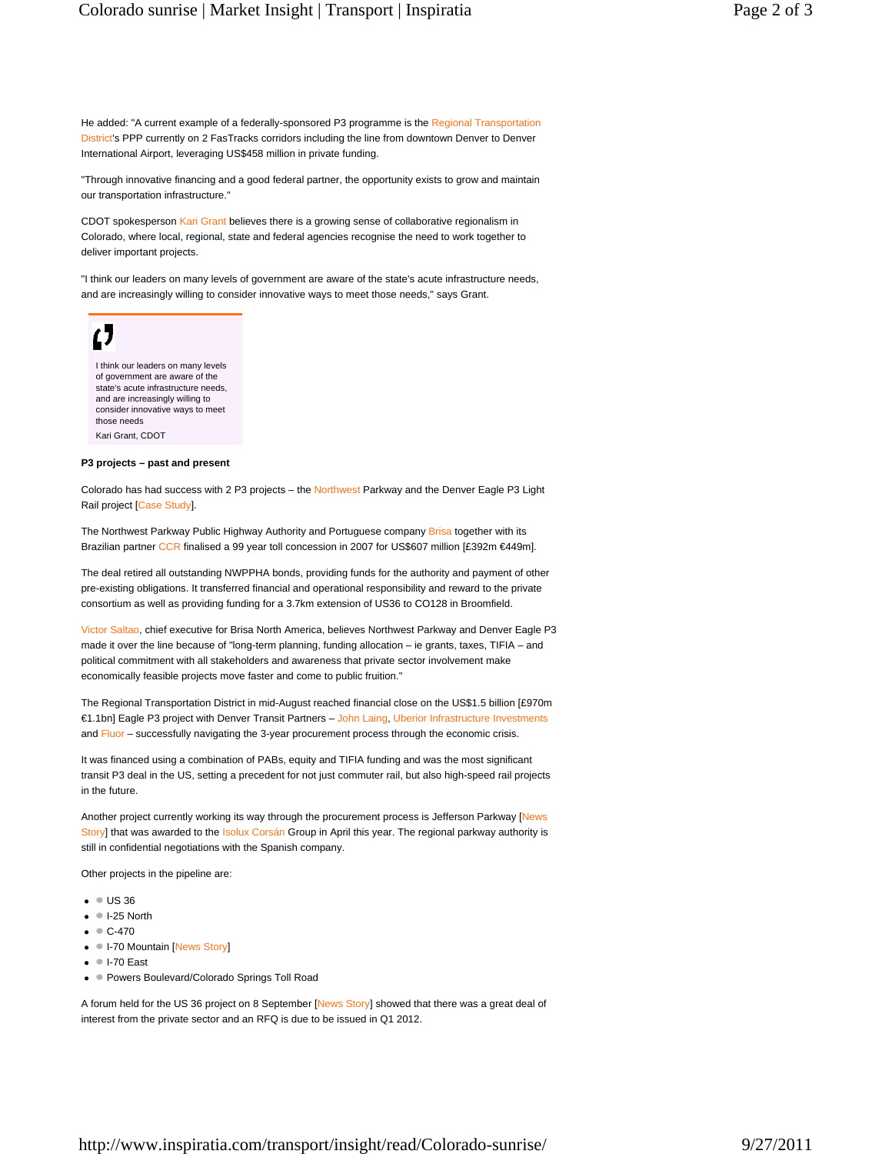He added: "A current example of a federally-sponsored P3 programme is the Regional Transportation District's PPP currently on 2 FasTracks corridors including the line from downtown Denver to Denver International Airport, leveraging US\$458 million in private funding.

"Through innovative financing and a good federal partner, the opportunity exists to grow and maintain our transportation infrastructure."

CDOT spokesperson Kari Grant believes there is a growing sense of collaborative regionalism in Colorado, where local, regional, state and federal agencies recognise the need to work together to deliver important projects.

"I think our leaders on many levels of government are aware of the state's acute infrastructure needs, and are increasingly willing to consider innovative ways to meet those needs," says Grant.



I think our leaders on many levels of government are aware of the state's acute infrastructure needs, and are increasingly willing to consider innovative ways to meet those needs Kari Grant, CDOT

## **P3 projects – past and present**

Colorado has had success with 2 P3 projects – the Northwest Parkway and the Denver Eagle P3 Light Rail project [Case Study].

The Northwest Parkway Public Highway Authority and Portuguese company Brisa together with its Brazilian partner CCR finalised a 99 year toll concession in 2007 for US\$607 million [£392m €449m].

The deal retired all outstanding NWPPHA bonds, providing funds for the authority and payment of other pre-existing obligations. It transferred financial and operational responsibility and reward to the private consortium as well as providing funding for a 3.7km extension of US36 to CO128 in Broomfield.

Victor Saltao, chief executive for Brisa North America, believes Northwest Parkway and Denver Eagle P3 made it over the line because of "long-term planning, funding allocation – ie grants, taxes, TIFIA – and political commitment with all stakeholders and awareness that private sector involvement make economically feasible projects move faster and come to public fruition."

The Regional Transportation District in mid-August reached financial close on the US\$1.5 billion [£970m €1.1bn] Eagle P3 project with Denver Transit Partners – John Laing, Uberior Infrastructure Investments and Fluor – successfully navigating the 3-year procurement process through the economic crisis.

It was financed using a combination of PABs, equity and TIFIA funding and was the most significant transit P3 deal in the US, setting a precedent for not just commuter rail, but also high-speed rail projects in the future.

Another project currently working its way through the procurement process is Jefferson Parkway [News Story] that was awarded to the Isolux Corsán Group in April this year. The regional parkway authority is still in confidential negotiations with the Spanish company.

Other projects in the pipeline are:

- $\bullet$  US 36
- $\bullet$  I-25 North
- $\bullet \bullet C 470$
- I-70 Mountain [News Story]
- $\bullet$  I-70 East
- **Powers Boulevard/Colorado Springs Toll Road**

A forum held for the US 36 project on 8 September [News Story] showed that there was a great deal of interest from the private sector and an RFQ is due to be issued in Q1 2012.